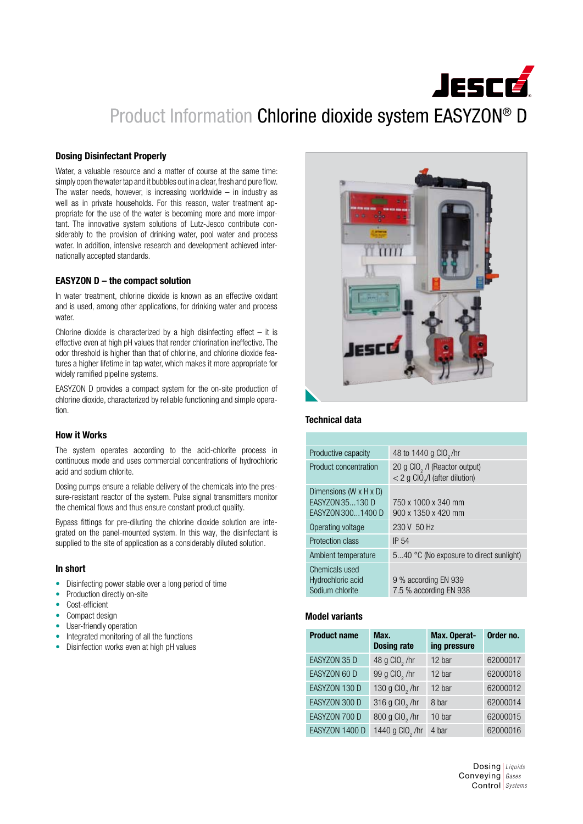# **JESCÉ** Product Information Chlorine dioxide system EASYZON® D

# Dosing Disinfectant Properly

Water, a valuable resource and a matter of course at the same time: simply open the water tap and it bubbles out in a clear, fresh and pure flow. The water needs, however, is increasing worldwide  $-$  in industry as well as in private households. For this reason, water treatment appropriate for the use of the water is becoming more and more important. The innovative system solutions of Lutz-Jesco contribute considerably to the provision of drinking water, pool water and process water. In addition, intensive research and development achieved internationally accepted standards.

### EASYZON D – the compact solution

In water treatment, chlorine dioxide is known as an effective oxidant and is used, among other applications, for drinking water and process water.

Chlorine dioxide is characterized by a high disinfecting effect  $-$  it is effective even at high pH values that render chlorination ineffective. The odor threshold is higher than that of chlorine, and chlorine dioxide features a higher lifetime in tap water, which makes it more appropriate for widely ramified pipeline systems.

EASYZON D provides a compact system for the on-site production of chlorine dioxide, characterized by reliable functioning and simple operation.

# How it Works

The system operates according to the acid-chlorite process in continuous mode and uses commercial concentrations of hydrochloric acid and sodium chlorite.

Dosing pumps ensure a reliable delivery of the chemicals into the pressure-resistant reactor of the system. Pulse signal transmitters monitor the chemical flows and thus ensure constant product quality.

Bypass fittings for pre-diluting the chlorine dioxide solution are integrated on the panel-mounted system. In this way, the disinfectant is supplied to the site of application as a considerably diluted solution.

#### In short

- Disinfecting power stable over a long period of time
- Production directly on-site
- Cost-efficient
- Compact design
- User-friendly operation
- Integrated monitoring of all the functions
- Disinfection works even at high pH values



#### Technical data

| Productive capacity                                                          | 48 to 1440 g CIO <sub>2</sub> /hr                                                                    |
|------------------------------------------------------------------------------|------------------------------------------------------------------------------------------------------|
| Product concentration                                                        | 20 g CIO <sub>2</sub> / (Reactor output)<br>$<$ 2 g CIO <sub><math>2</math>/I (after dilution)</sub> |
| Dimensions (W $\times$ H $\times$ D)<br>EASYZON 35130 D<br>EASYZON 3001400 D | 750 x 1000 x 340 mm<br>900 x 1350 x 420 mm                                                           |
| Operating voltage                                                            | 230 V 50 Hz                                                                                          |
| Protection class                                                             | <b>IP 54</b>                                                                                         |
| Ambient temperature                                                          | 540 °C (No exposure to direct sunlight)                                                              |
| Chemicals used<br>Hydrochloric acid<br>Sodium chlorite                       | 9 % according EN 939<br>7.5 % according EN 938                                                       |

# Model variants

| <b>Product name</b> | Max.<br><b>Dosing rate</b>  | Max. Operat-<br>ing pressure | Order no. |
|---------------------|-----------------------------|------------------------------|-----------|
| EASYZON 35 D        | 48 g CIO <sub>2</sub> /hr   | 12 bar                       | 62000017  |
| EASYZON 60 D        | 99 g CIO <sub>2</sub> /hr   | 12 bar                       | 62000018  |
| EASYZON 130 D       | 130 g CIO <sub>2</sub> /hr  | 12 bar                       | 62000012  |
| EASYZON 300 D       | 316 g CIO <sub>2</sub> /hr  | 8 bar                        | 62000014  |
| EASYZON 700 D       | 800 g CIO <sub>2</sub> /hr  | 10 bar                       | 62000015  |
| EASYZON 1400 D      | 1440 g CIO <sub>2</sub> /hr | 4 bar                        | 62000016  |

Dosing *Liquids* Conveying *Gases* Control *Systems*